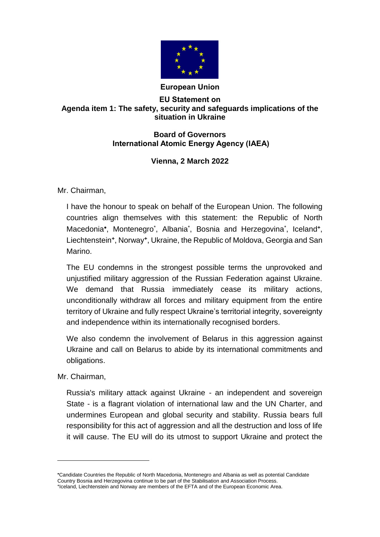

## **EU Statement on Agenda item 1: The safety, security and safeguards implications of the situation in Ukraine**

## **Board of Governors International Atomic Energy Agency (IAEA)**

## **Vienna, 2 March 2022**

Mr. Chairman,

I have the honour to speak on behalf of the European Union. The following countries align themselves with this statement: the Republic of North Macedonia\*, Montenegro<sup>\*</sup>, Albania<sup>\*</sup>, Bosnia and Herzegovina<sup>\*</sup>, Iceland<sup>+</sup>, Liechtenstein**<sup>+</sup>** , Norway**<sup>+</sup>** , Ukraine, the Republic of Moldova, Georgia and San Marino.

The EU condemns in the strongest possible terms the unprovoked and unjustified military aggression of the Russian Federation against Ukraine. We demand that Russia immediately cease its military actions, unconditionally withdraw all forces and military equipment from the entire territory of Ukraine and fully respect Ukraine's territorial integrity, sovereignty and independence within its internationally recognised borders.

We also condemn the involvement of Belarus in this aggression against Ukraine and call on Belarus to abide by its international commitments and obligations.

Mr. Chairman,

1

Russia's military attack against Ukraine - an independent and sovereign State - is a flagrant violation of international law and the UN Charter, and undermines European and global security and stability. Russia bears full responsibility for this act of aggression and all the destruction and loss of life it will cause. The EU will do its utmost to support Ukraine and protect the

Candidate Countries the Republic of North Macedonia, Montenegro and Albania as well as potential Candidate Country Bosnia and Herzegovina continue to be part of the Stabilisation and Association Process. **+** Iceland, Liechtenstein and Norway are members of the EFTA and of the European Economic Area.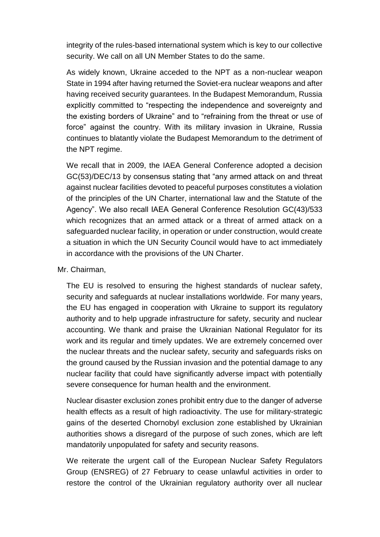integrity of the rules-based international system which is key to our collective security. We call on all UN Member States to do the same.

As widely known, Ukraine acceded to the NPT as a non-nuclear weapon State in 1994 after having returned the Soviet-era nuclear weapons and after having received security guarantees. In the Budapest Memorandum, Russia explicitly committed to "respecting the independence and sovereignty and the existing borders of Ukraine" and to "refraining from the threat or use of force" against the country. With its military invasion in Ukraine, Russia continues to blatantly violate the Budapest Memorandum to the detriment of the NPT regime.

We recall that in 2009, the IAEA General Conference adopted a decision GC(53)/DEC/13 by consensus stating that "any armed attack on and threat against nuclear facilities devoted to peaceful purposes constitutes a violation of the principles of the UN Charter, international law and the Statute of the Agency". We also recall IAEA General Conference Resolution GC(43)/533 which recognizes that an armed attack or a threat of armed attack on a safeguarded nuclear facility, in operation or under construction, would create a situation in which the UN Security Council would have to act immediately in accordance with the provisions of the UN Charter.

## Mr. Chairman,

The EU is resolved to ensuring the highest standards of nuclear safety, security and safeguards at nuclear installations worldwide. For many years, the EU has engaged in cooperation with Ukraine to support its regulatory authority and to help upgrade infrastructure for safety, security and nuclear accounting. We thank and praise the Ukrainian National Regulator for its work and its regular and timely updates. We are extremely concerned over the nuclear threats and the nuclear safety, security and safeguards risks on the ground caused by the Russian invasion and the potential damage to any nuclear facility that could have significantly adverse impact with potentially severe consequence for human health and the environment.

Nuclear disaster exclusion zones prohibit entry due to the danger of adverse health effects as a result of high radioactivity. The use for military-strategic gains of the deserted Chornobyl exclusion zone established by Ukrainian authorities shows a disregard of the purpose of such zones, which are left mandatorily unpopulated for safety and security reasons.

We reiterate the urgent call of the European Nuclear Safety Regulators Group (ENSREG) of 27 February to cease unlawful activities in order to restore the control of the Ukrainian regulatory authority over all nuclear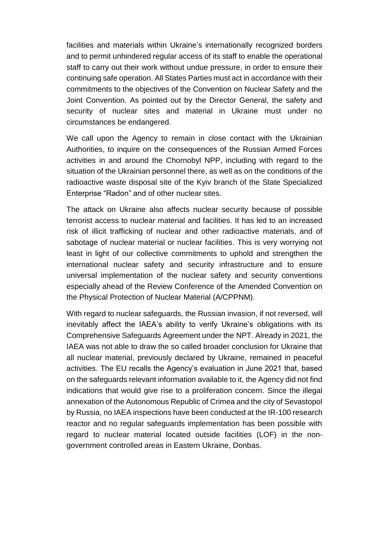facilities and materials within Ukraine's internationally recognized borders and to permit unhindered regular access of its staff to enable the operational staff to carry out their work without undue pressure, in order to ensure their continuing safe operation. All States Parties must act in accordance with their commitments to the objectives of the Convention on Nuclear Safety and the Joint Convention. As pointed out by the Director General, the safety and security of nuclear sites and material in Ukraine must under no circumstances be endangered.

We call upon the Agency to remain in close contact with the Ukrainian Authorities, to inquire on the consequences of the Russian Armed Forces activities in and around the Chornobyl NPP, including with regard to the situation of the Ukrainian personnel there, as well as on the conditions of the radioactive waste disposal site of the Kyiv branch of the State Specialized Enterprise "Radon" and of other nuclear sites.

The attack on Ukraine also affects nuclear security because of possible terrorist access to nuclear material and facilities. It has led to an increased risk of illicit trafficking of nuclear and other radioactive materials, and of sabotage of nuclear material or nuclear facilities. This is very worrying not least in light of our collective commitments to uphold and strengthen the international nuclear safety and security infrastructure and to ensure universal implementation of the nuclear safety and security conventions especially ahead of the Review Conference of the Amended Convention on the Physical Protection of Nuclear Material (A/CPPNM).

With regard to nuclear safeguards, the Russian invasion, if not reversed, will inevitably affect the IAEA's ability to verify Ukraine's obligations with its Comprehensive Safeguards Agreement under the NPT. Already in 2021, the IAEA was not able to draw the so called broader conclusion for Ukraine that all nuclear material, previously declared by Ukraine, remained in peaceful activities. The EU recalls the Agency's evaluation in June 2021 that, based on the safeguards relevant information available to it, the Agency did not find indications that would give rise to a proliferation concern. Since the illegal annexation of the Autonomous Republic of Crimea and the city of Sevastopol by Russia, no IAEA inspections have been conducted at the IR-100 research reactor and no regular safeguards implementation has been possible with regard to nuclear material located outside facilities (LOF) in the nongovernment controlled areas in Eastern Ukraine, Donbas.